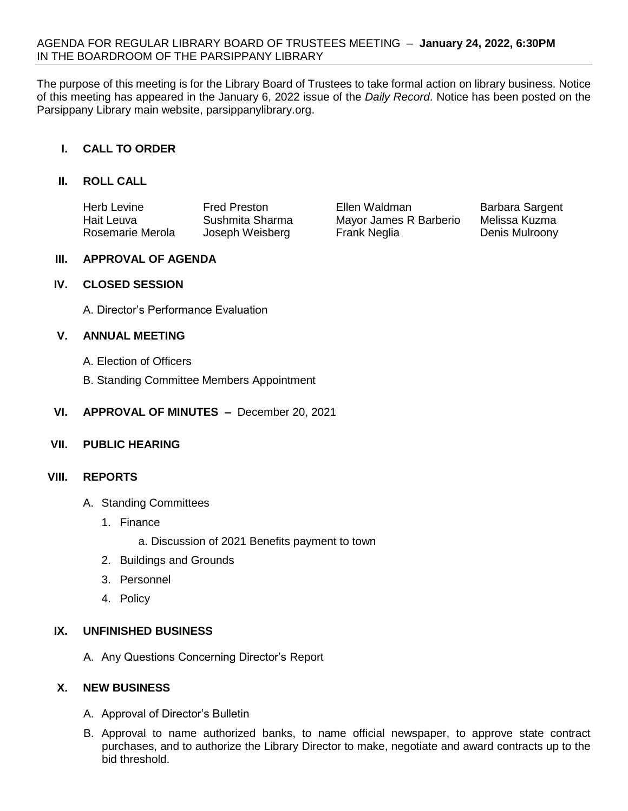The purpose of this meeting is for the Library Board of Trustees to take formal action on library business. Notice of this meeting has appeared in the January 6, 2022 issue of the *Daily Record*. Notice has been posted on the Parsippany Library main website, parsippanylibrary.org.

## **I. CALL TO ORDER**

### **II. ROLL CALL**

| Herb Levine      | <b>Fred Preston</b> | Ellen Waldman          | Barbara Sargent |
|------------------|---------------------|------------------------|-----------------|
| Hait Leuva       | Sushmita Sharma     | Mayor James R Barberio | Melissa Kuzma   |
| Rosemarie Merola | Joseph Weisberg     | Frank Neglia           | Denis Mulroony  |

### **III. APPROVAL OF AGENDA**

### **IV. CLOSED SESSION**

A. Director's Performance Evaluation

### **V. ANNUAL MEETING**

- A. Election of Officers
- B. Standing Committee Members Appointment
- **VI. APPROVAL OF MINUTES –** December 20, 2021

## **VII. PUBLIC HEARING**

#### **VIII. REPORTS**

- A. Standing Committees
	- 1. Finance
		- a. Discussion of 2021 Benefits payment to town
	- 2. Buildings and Grounds
	- 3. Personnel
	- 4. Policy

## **IX. UNFINISHED BUSINESS**

A. Any Questions Concerning Director's Report

## **X. NEW BUSINESS**

- A. Approval of Director's Bulletin
- B. Approval to name authorized banks, to name official newspaper, to approve state contract purchases, and to authorize the Library Director to make, negotiate and award contracts up to the bid threshold.